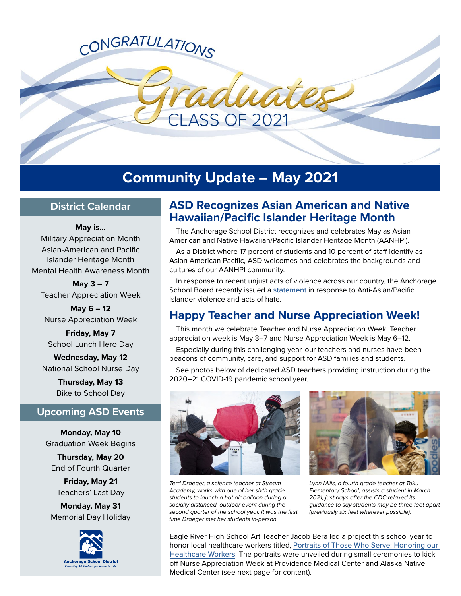# CONGRATULATIONS

**Community Update – May 2021**

**ASS OF 2021** 

## **District Calendar**

**May is…** Military Appreciation Month Asian-American and Pacific Islander Heritage Month Mental Health Awareness Month

**May 3 – 7**  Teacher Appreciation Week

**May 6 – 12**  Nurse Appreciation Week

**Friday, May 7**  School Lunch Hero Day

**Wednesday, May 12**  National School Nurse Day

> **Thursday, May 13**  Bike to School Day

# **Upcoming ASD Events**

**Monday, May 10**  Graduation Week Begins

**Thursday, May 20**  End of Fourth Quarter

**Friday, May 21**  Teachers' Last Day

**Monday, May 31**  Memorial Day Holiday



# **ASD Recognizes Asian American and Native Hawaiian/Pacific Islander Heritage Month**

The Anchorage School District recognizes and celebrates May as Asian American and Native Hawaiian/Pacific Islander Heritage Month (AANHPI).

As a District where 17 percent of students and 10 percent of staff identify as Asian American Pacific, ASD welcomes and celebrates the backgrounds and cultures of our AANHPI community.

In response to recent unjust acts of violence across our country, the Anchorage School Board recently issued a [statement](https://www.asdk12.org/cms/lib/AK02207157/Centricity/Domain/1184/2021_M120a_Response%20to%20Anti-AAPI%20Violence.pdf) in response to Anti-Asian/Pacific Islander violence and acts of hate.

# **Happy Teacher and Nurse Appreciation Week!**

This month we celebrate Teacher and Nurse Appreciation Week. Teacher appreciation week is May 3–7 and Nurse Appreciation Week is May 6–12.

Especially during this challenging year, our teachers and nurses have been beacons of community, care, and support for ASD families and students.

See photos below of dedicated ASD teachers providing instruction during the 2020–21 COVID-19 pandemic school year.



*Terri Draeger, a science teacher at Stream Academy, works with one of her sixth grade students to launch a hot air balloon during a socially distanced, outdoor event during the second quarter of the school year. It was the first time Draeger met her students in-person.*



*Lynn Mills, a fourth grade teacher at Taku Elementary School, assists a student in March 2021, just days after the CDC relaxed its guidance to say students may be three feet apart (previously six feet wherever possible).*

Eagle River High School Art Teacher Jacob Bera led a project this school year to honor local healthcare workers titled, [Portraits of Those Who Serve: Honoring our](https://portraitsofthosewhoserve.com/)  [Healthcare Workers](https://portraitsofthosewhoserve.com/). The portraits were unveiled during small ceremonies to kick off Nurse Appreciation Week at Providence Medical Center and Alaska Native Medical Center (see next page for content).